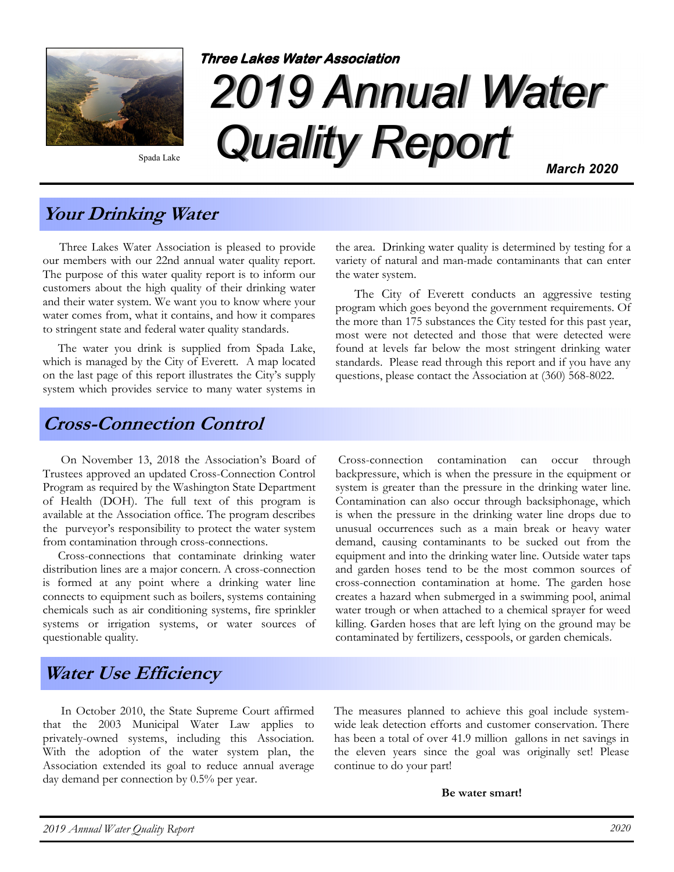

Spada Lake

# 2019 Annual Water Quality Report **Three Lakes Water Association** March 2020

Your Drinking Water

 Three Lakes Water Association is pleased to provide our members with our 22nd annual water quality report. The purpose of this water quality report is to inform our customers about the high quality of their drinking water and their water system. We want you to know where your water comes from, what it contains, and how it compares to stringent state and federal water quality standards.

 The water you drink is supplied from Spada Lake, which is managed by the City of Everett. A map located on the last page of this report illustrates the City's supply system which provides service to many water systems in

the area. Drinking water quality is determined by testing for a variety of natural and man-made contaminants that can enter the water system.

 The City of Everett conducts an aggressive testing program which goes beyond the government requirements. Of the more than 175 substances the City tested for this past year, most were not detected and those that were detected were found at levels far below the most stringent drinking water standards. Please read through this report and if you have any questions, please contact the Association at (360) 568-8022.

#### Cross-Connection Control

 On November 13, 2018 the Association's Board of Trustees approved an updated Cross-Connection Control Program as required by the Washington State Department of Health (DOH). The full text of this program is available at the Association office. The program describes the purveyor's responsibility to protect the water system from contamination through cross-connections.

 Cross-connections that contaminate drinking water distribution lines are a major concern. A cross-connection is formed at any point where a drinking water line connects to equipment such as boilers, systems containing chemicals such as air conditioning systems, fire sprinkler systems or irrigation systems, or water sources of questionable quality.

 Cross-connection contamination can occur through backpressure, which is when the pressure in the equipment or system is greater than the pressure in the drinking water line. Contamination can also occur through backsiphonage, which is when the pressure in the drinking water line drops due to unusual occurrences such as a main break or heavy water demand, causing contaminants to be sucked out from the equipment and into the drinking water line. Outside water taps and garden hoses tend to be the most common sources of cross-connection contamination at home. The garden hose creates a hazard when submerged in a swimming pool, animal water trough or when attached to a chemical sprayer for weed killing. Garden hoses that are left lying on the ground may be contaminated by fertilizers, cesspools, or garden chemicals.

# Water Use Efficiency

 In October 2010, the State Supreme Court affirmed that the 2003 Municipal Water Law applies to privately-owned systems, including this Association. With the adoption of the water system plan, the Association extended its goal to reduce annual average day demand per connection by 0.5% per year.

The measures planned to achieve this goal include systemwide leak detection efforts and customer conservation. There has been a total of over 41.9 million gallons in net savings in the eleven years since the goal was originally set! Please continue to do your part!

Be water smart!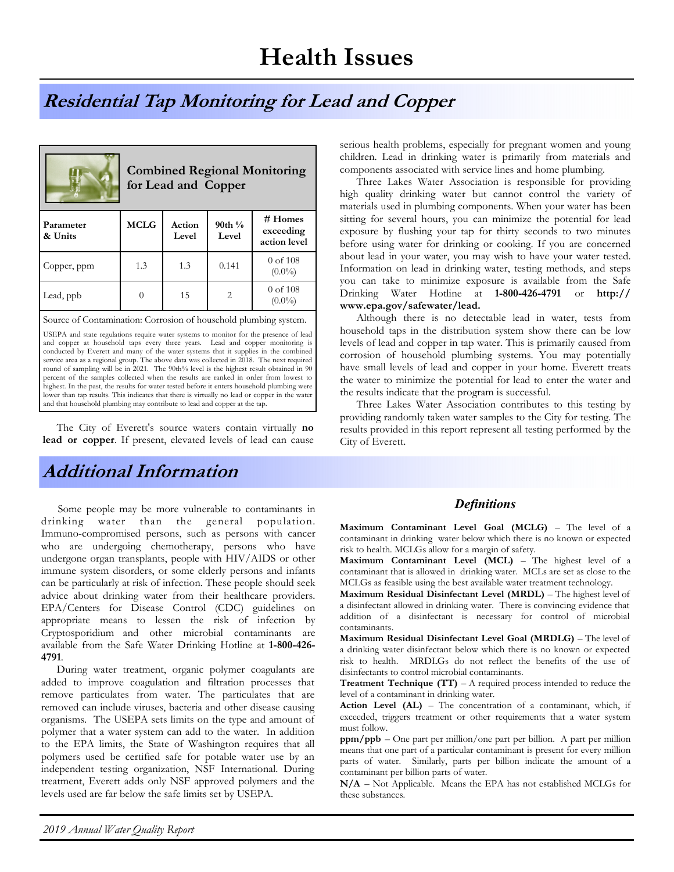# Residential Tap Monitoring for Lead and Copper

| <b>Combined Regional Monitoring</b><br>for Lead and Copper       |             |                 |                   |                                      |  |  |  |  |
|------------------------------------------------------------------|-------------|-----------------|-------------------|--------------------------------------|--|--|--|--|
| Parameter<br>& Units                                             | <b>MCLG</b> | Action<br>Level | $90th\%$<br>Level | # Homes<br>exceeding<br>action level |  |  |  |  |
| Copper, ppm                                                      | 1.3         | 1.3             | 0.141             | $0$ of $108$<br>$(0.0\%)$            |  |  |  |  |
| Lead, ppb                                                        | $\Omega$    | 15              | $\overline{2}$    | $0$ of $108$<br>$(0.0\%)$            |  |  |  |  |
| Source of Contamination: Corrosion of household plumbing system. |             |                 |                   |                                      |  |  |  |  |

USEPA and state regulations require water systems to monitor for the presence of lead and copper at household taps every three years. Lead and copper monitoring is conducted by Everett and many of the water systems that it supplies in the combined service area as a regional group. The above data was collected in 2018. The next required round of sampling will be in 2021. The 90th% level is the highest result obtained in 90 percent of the samples collected when the results are ranked in order from lowest to highest. In the past, the results for water tested before it enters household plumbing were lower than tap results. This indicates that there is virtually no lead or copper in the water and that household plumbing may contribute to lead and copper at the tap.

The City of Everett's source waters contain virtually no lead or copper. If present, elevated levels of lead can cause

# Additional Information

 Some people may be more vulnerable to contaminants in drinking water than the general population. Immuno-compromised persons, such as persons with cancer who are undergoing chemotherapy, persons who have undergone organ transplants, people with HIV/AIDS or other immune system disorders, or some elderly persons and infants can be particularly at risk of infection. These people should seek advice about drinking water from their healthcare providers. EPA/Centers for Disease Control (CDC) guidelines on appropriate means to lessen the risk of infection by Cryptosporidium and other microbial contaminants are available from the Safe Water Drinking Hotline at 1-800-426- 4791.

 During water treatment, organic polymer coagulants are added to improve coagulation and filtration processes that remove particulates from water. The particulates that are removed can include viruses, bacteria and other disease causing organisms. The USEPA sets limits on the type and amount of polymer that a water system can add to the water. In addition to the EPA limits, the State of Washington requires that all polymers used be certified safe for potable water use by an independent testing organization, NSF International. During treatment, Everett adds only NSF approved polymers and the levels used are far below the safe limits set by USEPA.

serious health problems, especially for pregnant women and young children. Lead in drinking water is primarily from materials and components associated with service lines and home plumbing.

 Three Lakes Water Association is responsible for providing high quality drinking water but cannot control the variety of materials used in plumbing components. When your water has been sitting for several hours, you can minimize the potential for lead exposure by flushing your tap for thirty seconds to two minutes before using water for drinking or cooking. If you are concerned about lead in your water, you may wish to have your water tested. Information on lead in drinking water, testing methods, and steps you can take to minimize exposure is available from the Safe Drinking Water Hotline at 1-800-426-4791 or http:// www.epa.gov/safewater/lead.

 Although there is no detectable lead in water, tests from household taps in the distribution system show there can be low levels of lead and copper in tap water. This is primarily caused from corrosion of household plumbing systems. You may potentially have small levels of lead and copper in your home. Everett treats the water to minimize the potential for lead to enter the water and the results indicate that the program is successful.

 Three Lakes Water Association contributes to this testing by providing randomly taken water samples to the City for testing. The results provided in this report represent all testing performed by the City of Everett.

#### **Definitions**

Maximum Contaminant Level Goal (MCLG) – The level of a contaminant in drinking water below which there is no known or expected risk to health. MCLGs allow for a margin of safety.

Maximum Contaminant Level (MCL) – The highest level of a contaminant that is allowed in drinking water. MCLs are set as close to the MCLGs as feasible using the best available water treatment technology.

Maximum Residual Disinfectant Level (MRDL) – The highest level of a disinfectant allowed in drinking water. There is convincing evidence that addition of a disinfectant is necessary for control of microbial contaminants.

Maximum Residual Disinfectant Level Goal (MRDLG) – The level of a drinking water disinfectant below which there is no known or expected risk to health. MRDLGs do not reflect the benefits of the use of disinfectants to control microbial contaminants.

**Treatment Technique (TT)** – A required process intended to reduce the level of a contaminant in drinking water.

Action Level (AL) – The concentration of a contaminant, which, if exceeded, triggers treatment or other requirements that a water system must follow.

ppm/ppb – One part per million/one part per billion. A part per million means that one part of a particular contaminant is present for every million parts of water. Similarly, parts per billion indicate the amount of a contaminant per billion parts of water.

N/A – Not Applicable. Means the EPA has not established MCLGs for these substances.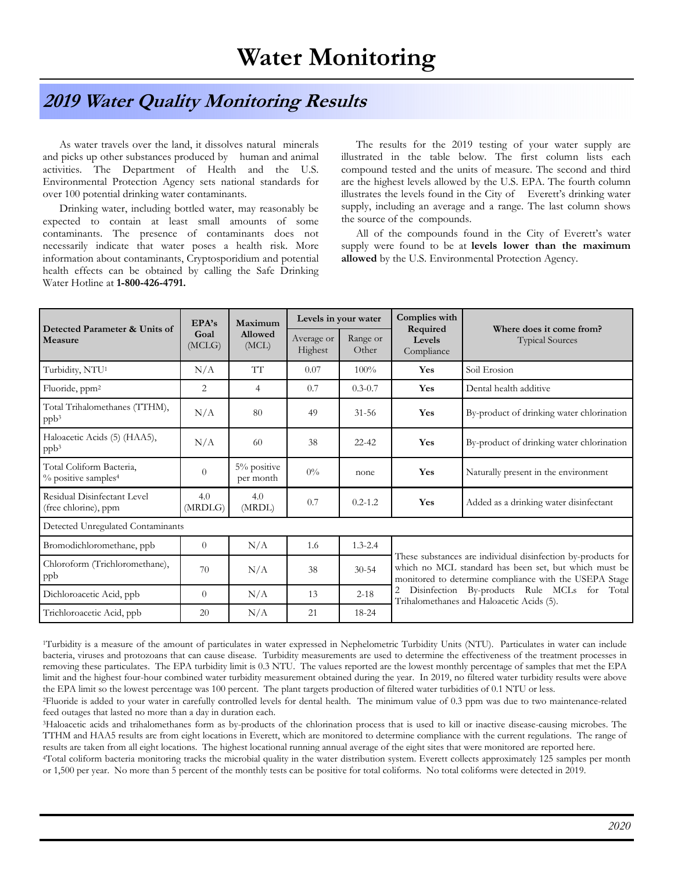#### 2019 Water Quality Monitoring Results

 As water travels over the land, it dissolves natural minerals and picks up other substances produced by human and animal activities. The Department of Health and the U.S. Environmental Protection Agency sets national standards for over 100 potential drinking water contaminants.

 Drinking water, including bottled water, may reasonably be expected to contain at least small amounts of some contaminants. The presence of contaminants does not necessarily indicate that water poses a health risk. More information about contaminants, Cryptosporidium and potential health effects can be obtained by calling the Safe Drinking Water Hotline at 1-800-426-4791.

 The results for the 2019 testing of your water supply are illustrated in the table below. The first column lists each compound tested and the units of measure. The second and third are the highest levels allowed by the U.S. EPA. The fourth column illustrates the levels found in the City of Everett's drinking water supply, including an average and a range. The last column shows the source of the compounds.

 All of the compounds found in the City of Everett's water supply were found to be at levels lower than the maximum allowed by the U.S. Environmental Protection Agency.

| Detected Parameter & Units of<br>Measure                    | EPA's<br>Goal<br>(MCLG) | Maximum<br>Allowed<br>(MCL) | Levels in your water  |                   | Complies with                                                                             |                                                                                                                                                                                 |  |  |  |
|-------------------------------------------------------------|-------------------------|-----------------------------|-----------------------|-------------------|-------------------------------------------------------------------------------------------|---------------------------------------------------------------------------------------------------------------------------------------------------------------------------------|--|--|--|
|                                                             |                         |                             | Average or<br>Highest | Range or<br>Other | Required<br>Levels<br>Compliance                                                          | Where does it come from?<br><b>Typical Sources</b>                                                                                                                              |  |  |  |
| Turbidity, NTU <sup>1</sup>                                 | N/A                     | <b>TT</b>                   | 0.07                  | 100%              | Yes                                                                                       | Soil Erosion                                                                                                                                                                    |  |  |  |
| Fluoride, ppm <sup>2</sup>                                  | 2                       | 4                           | 0.7                   | $0.3 - 0.7$       | Yes                                                                                       | Dental health additive                                                                                                                                                          |  |  |  |
| Total Trihalomethanes (TTHM),<br>ppb <sup>3</sup>           | N/A                     | 80                          | 49                    | $31 - 56$         | Yes                                                                                       | By-product of drinking water chlorination                                                                                                                                       |  |  |  |
| Haloacetic Acids (5) (HAA5),<br>ppb <sup>3</sup>            | N/A                     | 60                          | 38                    | $22 - 42$         | Yes                                                                                       | By-product of drinking water chlorination                                                                                                                                       |  |  |  |
| Total Coliform Bacteria,<br>% positive samples <sup>4</sup> | $\Omega$                | 5% positive<br>per month    | $0\%$                 | none              | Yes                                                                                       | Naturally present in the environment                                                                                                                                            |  |  |  |
| Residual Disinfectant Level<br>(free chlorine), ppm         | 4.0<br>(MRDLG)          | 4.0<br>(MRDL)               | 0.7                   | $0.2 - 1.2$       | Yes                                                                                       | Added as a drinking water disinfectant                                                                                                                                          |  |  |  |
| Detected Unregulated Contaminants                           |                         |                             |                       |                   |                                                                                           |                                                                                                                                                                                 |  |  |  |
| Bromodichloromethane, ppb                                   | $\theta$                | N/A                         | 1.6                   | $1.3 - 2.4$       |                                                                                           |                                                                                                                                                                                 |  |  |  |
| Chloroform (Trichloromethane),<br>ppb                       | 70                      | N/A                         | 38                    | $30 - 54$         |                                                                                           | These substances are individual disinfection by-products for<br>which no MCL standard has been set, but which must be<br>monitored to determine compliance with the USEPA Stage |  |  |  |
| Dichloroacetic Acid, ppb                                    | $\theta$                | N/A                         | 13                    | $2 - 18$          | Disinfection By-products Rule MCLs for Total<br>Trihalomethanes and Haloacetic Acids (5). |                                                                                                                                                                                 |  |  |  |
| Trichloroacetic Acid, ppb                                   | 20                      | N/A                         | 21                    | 18-24             |                                                                                           |                                                                                                                                                                                 |  |  |  |

<sup>1</sup>Turbidity is a measure of the amount of particulates in water expressed in Nephelometric Turbidity Units (NTU). Particulates in water can include bacteria, viruses and protozoans that can cause disease. Turbidity measurements are used to determine the effectiveness of the treatment processes in removing these particulates. The EPA turbidity limit is 0.3 NTU. The values reported are the lowest monthly percentage of samples that met the EPA limit and the highest four-hour combined water turbidity measurement obtained during the year. In 2019, no filtered water turbidity results were above the EPA limit so the lowest percentage was 100 percent. The plant targets production of filtered water turbidities of 0.1 NTU or less.

<sup>2</sup>Fluoride is added to your water in carefully controlled levels for dental health. The minimum value of 0.3 ppm was due to two maintenance-related feed outages that lasted no more than a day in duration each.

<sup>3</sup>Haloacetic acids and trihalomethanes form as by-products of the chlorination process that is used to kill or inactive disease-causing microbes. The TTHM and HAA5 results are from eight locations in Everett, which are monitored to determine compliance with the current regulations. The range of results are taken from all eight locations. The highest locational running annual average of the eight sites that were monitored are reported here.

<sup>4</sup>Total coliform bacteria monitoring tracks the microbial quality in the water distribution system. Everett collects approximately 125 samples per month or 1,500 per year. No more than 5 percent of the monthly tests can be positive for total coliforms. No total coliforms were detected in 2019.